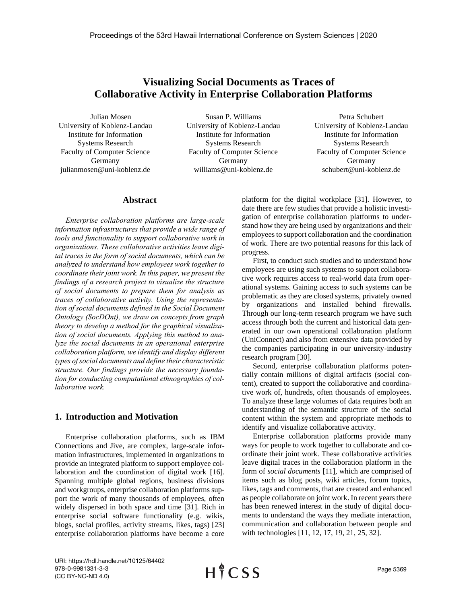# **Visualizing Social Documents as Traces of Collaborative Activity in Enterprise Collaboration Platforms**

Julian Mosen University of Koblenz-Landau Institute for Information Systems Research Faculty of Computer Science Germany julianmosen@uni-koblenz.de

Susan P. Williams University of Koblenz-Landau Institute for Information Systems Research Faculty of Computer Science Germany williams@uni-koblenz.de

Petra Schubert University of Koblenz-Landau Institute for Information Systems Research Faculty of Computer Science Germany schubert@uni-koblenz.de

## **Abstract**

*Enterprise collaboration platforms are large-scale information infrastructures that provide a wide range of tools and functionality to support collaborative work in organizations. These collaborative activities leave digital traces in the form of social documents, which can be analyzed to understand how employees work together to coordinate their joint work. In this paper, we present the findings of a research project to visualize the structure of social documents to prepare them for analysis as traces of collaborative activity. Using the representation of social documents defined in the Social Document Ontology (SocDOnt), we draw on concepts from graph theory to develop a method for the graphical visualization of social documents. Applying this method to analyze the social documents in an operational enterprise collaboration platform, we identify and display different types of social documents and define their characteristic structure. Our findings provide the necessary foundation for conducting computational ethnographies of collaborative work.*

#### **1. Introduction and Motivation**

Enterprise collaboration platforms, such as IBM Connections and Jive, are complex, large-scale information infrastructures, implemented in organizations to provide an integrated platform to support employee collaboration and the coordination of digital work [16]. Spanning multiple global regions, business divisions and workgroups, enterprise collaboration platforms support the work of many thousands of employees, often widely dispersed in both space and time [31]. Rich in enterprise social software functionality (e.g. wikis, blogs, social profiles, activity streams, likes, tags) [23] enterprise collaboration platforms have become a core

platform for the digital workplace [31]. However, to date there are few studies that provide a holistic investigation of enterprise collaboration platforms to understand how they are being used by organizations and their employees to support collaboration and the coordination of work. There are two potential reasons for this lack of progress.

First, to conduct such studies and to understand how employees are using such systems to support collaborative work requires access to real-world data from operational systems. Gaining access to such systems can be problematic as they are closed systems, privately owned by organizations and installed behind firewalls. Through our long-term research program we have such access through both the current and historical data generated in our own operational collaboration platform (UniConnect) and also from extensive data provided by the companies participating in our university-industry research program [30].

Second, enterprise collaboration platforms potentially contain millions of digital artifacts (social content), created to support the collaborative and coordinative work of, hundreds, often thousands of employees. To analyze these large volumes of data requires both an understanding of the semantic structure of the social content within the system and appropriate methods to identify and visualize collaborative activity.

Enterprise collaboration platforms provide many ways for people to work together to collaborate and coordinate their joint work. These collaborative activities leave digital traces in the collaboration platform in the form of *social documents* [11], which are comprised of items such as blog posts, wiki articles, forum topics, likes, tags and comments, that are created and enhanced as people collaborate on joint work. In recent years there has been renewed interest in the study of digital documents to understand the ways they mediate interaction, communication and collaboration between people and with technologies [11, 12, 17, 19, 21, 25, 32].

URI: https://hdl.handle.net/10125/64402 978-0-9981331-3-3 (CC BY-NC-ND 4.0)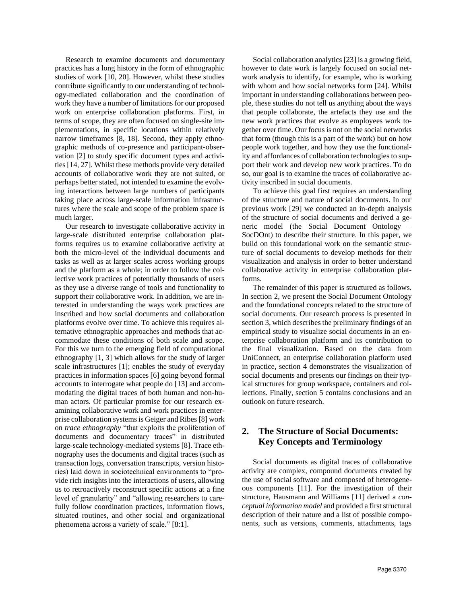Research to examine documents and documentary practices has a long history in the form of ethnographic studies of work [10, 20]. However, whilst these studies contribute significantly to our understanding of technology-mediated collaboration and the coordination of work they have a number of limitations for our proposed work on enterprise collaboration platforms. First, in terms of scope, they are often focused on single-site implementations, in specific locations within relatively narrow timeframes [8, 18]. Second, they apply ethnographic methods of co-presence and participant-observation [2] to study specific document types and activities [14, 27]. Whilst these methods provide very detailed accounts of collaborative work they are not suited, or perhaps better stated, not intended to examine the evolving interactions between large numbers of participants taking place across large-scale information infrastructures where the scale and scope of the problem space is much larger.

Our research to investigate collaborative activity in large-scale distributed enterprise collaboration platforms requires us to examine collaborative activity at both the micro-level of the individual documents and tasks as well as at larger scales across working groups and the platform as a whole; in order to follow the collective work practices of potentially thousands of users as they use a diverse range of tools and functionality to support their collaborative work. In addition, we are interested in understanding the ways work practices are inscribed and how social documents and collaboration platforms evolve over time. To achieve this requires alternative ethnographic approaches and methods that accommodate these conditions of both scale and scope. For this we turn to the emerging field of computational ethnography [1, 3] which allows for the study of larger scale infrastructures [1]; enables the study of everyday practices in information spaces [6] going beyond formal accounts to interrogate what people do [13] and accommodating the digital traces of both human and non-human actors. Of particular promise for our research examining collaborative work and work practices in enterprise collaboration systems is Geiger and Ribes [8] work on *trace ethnography* "that exploits the proliferation of documents and documentary traces" in distributed large-scale technology-mediated systems [8]. Trace ethnography uses the documents and digital traces (such as transaction logs, conversation transcripts, version histories) laid down in sociotechnical environments to "provide rich insights into the interactions of users, allowing us to retroactively reconstruct specific actions at a fine level of granularity" and "allowing researchers to carefully follow coordination practices, information flows, situated routines, and other social and organizational phenomena across a variety of scale." [8:1].

Social collaboration analytics [23] is a growing field, however to date work is largely focused on social network analysis to identify, for example, who is working with whom and how social networks form [24]. Whilst important in understanding collaborations between people, these studies do not tell us anything about the ways that people collaborate, the artefacts they use and the new work practices that evolve as employees work together over time. Our focus is not on the social networks that form (though this is a part of the work) but on how people work together, and how they use the functionality and affordances of collaboration technologies to support their work and develop new work practices. To do so, our goal is to examine the traces of collaborative activity inscribed in social documents.

To achieve this goal first requires an understanding of the structure and nature of social documents. In our previous work [29] we conducted an in-depth analysis of the structure of social documents and derived a generic model (the Social Document Ontology – SocDOnt) to describe their structure. In this paper, we build on this foundational work on the semantic structure of social documents to develop methods for their visualization and analysis in order to better understand collaborative activity in enterprise collaboration platforms.

The remainder of this paper is structured as follows. In section [2,](#page-1-0) we present the Social Document Ontology and the foundational concepts related to the structure of social documents. Our research process is presented in sectio[n 3,](#page-2-0) which describes the preliminary findings of an empirical study to visualize social documents in an enterprise collaboration platform and its contribution to the final visualization. Based on the data from UniConnect, an enterprise collaboration platform used in practice, section [4](#page-5-0) demonstrates the visualization of social documents and presents our findings on their typical structures for group workspace, containers and collections. Finally, section [5](#page-8-0) contains conclusions and an outlook on future research.

# <span id="page-1-0"></span>**2. The Structure of Social Documents: Key Concepts and Terminology**

Social documents as digital traces of collaborative activity are complex, compound documents created by the use of social software and composed of heterogeneous components [11]. For the investigation of their structure, Hausmann and Williams [11] derived a *conceptual information model* and provided a first structural description of their nature and a list of possible components, such as versions, comments, attachments, tags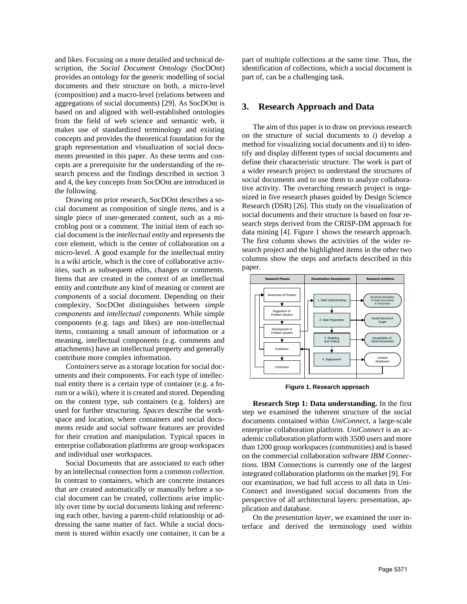and likes. Focusing on a more detailed and technical description, the *Social Document Ontology* (SocDOnt) provides an ontology for the generic modelling of social documents and their structure on both, a micro-level (composition) and a macro-level (relations between and aggregations of social documents) [29]. As SocDOnt is based on and aligned with well-established ontologies from the field of web science and semantic web, it makes use of standardized terminology and existing concepts and provides the theoretical foundation for the graph representation and visualization of social documents presented in this paper. As these terms and concepts are a prerequisite for the understanding of the research process and the findings described in section [3](#page-2-0) an[d 4,](#page-5-0) the key concepts from SocDOnt are introduced in the following.

Drawing on prior research, SocDOnt describes a social document as composition of single *items*, and is a single piece of user-generated content, such as a microblog post or a comment. The initial item of each social document is the *intellectual entity* and represents the core element, which is the center of collaboration on a micro-level. A good example for the intellectual entity is a wiki article, which is the core of collaborative activities, such as subsequent edits, changes or comments. Items that are created in the context of an intellectual entity and contribute any kind of meaning or content are *components* of a social document. Depending on their complexity, SocDOnt distinguishes between *simple components* and *intellectual components*. While simple components (e.g. tags and likes) are non-intellectual items, containing a small amount of information or a meaning, intellectual components (e.g. comments and attachments) have an intellectual property and generally contribute more complex information.

*Containers* serve as a storage location for social documents and their components. For each type of intellectual entity there is a certain type of container (e.g. a forum or a wiki), where it is created and stored. Depending on the content type, sub containers (e.g. folders) are used for further structuring. *Spaces* describe the workspace and location, where containers and social documents reside and social software features are provided for their creation and manipulation. Typical spaces in enterprise collaboration platforms are group workspaces and individual user workspaces.

Social Documents that are associated to each other by an intellectual connection form a common *collection*. In contrast to containers, which are concrete instances that are created automatically or manually before a social document can be created, collections arise implicitly over time by social documents linking and referencing each other, having a parent-child relationship or addressing the same matter of fact. While a social document is stored within exactly one container, it can be a

part of multiple collections at the same time. Thus, the identification of collections, which a social document is part of, can be a challenging task.

## <span id="page-2-0"></span>**3. Research Approach and Data**

The aim of this paper is to draw on previous research on the structure of social documents to i) develop a method for visualizing social documents and ii) to identify and display different types of social documents and define their characteristic structure. The work is part of a wider research project to understand the structures of social documents and to use them to analyze collaborative activity. The overarching research project is organized in five research phases guided by Design Science Research (DSR) [26]. This study on the visualization of social documents and their structure is based on four research steps derived from the CRISP-DM approach for data mining [4]. [Figure 1](#page-2-1) shows the research approach. The first column shows the activities of the wider research project and the highlighted items in the other two columns show the steps and artefacts described in this paper.



**Figure 1. Research approach**

<span id="page-2-1"></span>**Research Step 1: Data understanding.** In the first step we examined the inherent structure of the social documents contained within *UniConnect*, a large-scale enterprise collaboration platform. *UniConnect* is an academic collaboration platform with 3500 users and more than 1200 group workspaces (communities) and is based on the commercial collaboration software *IBM Connections.* IBM Connections is currently one of the largest integrated collaboration platforms on the market [9]. For our examination, we had full access to all data in Uni-Connect and investigated social documents from the perspective of all architectural layers: presentation, application and database.

On the *presentation layer*, we examined the user interface and derived the terminology used within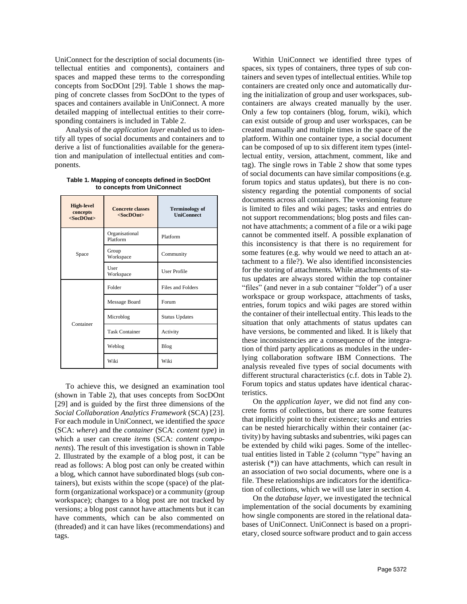UniConnect for the description of social documents (intellectual entities and components), containers and spaces and mapped these terms to the corresponding concepts from SocDOnt [29]. [Table 1](#page-3-0) shows the mapping of concrete classes from SocDOnt to the types of spaces and containers available in UniConnect. A more detailed mapping of intellectual entities to their corresponding containers is included in [Table 2.](#page-4-0)

Analysis of the *application layer* enabled us to identify all types of social documents and containers and to derive a list of functionalities available for the generation and manipulation of intellectual entities and components.

| <b>High-level</b><br>concepts<br>$<$ SocDOnt $>$ | <b>Concrete classes</b><br>$<$ SocDOnt $>$ | <b>Terminology of</b><br><b>UniConnect</b> |  |  |
|--------------------------------------------------|--------------------------------------------|--------------------------------------------|--|--|
| Space                                            | Organisational<br>Platform                 | Platform                                   |  |  |
|                                                  | Group<br>Workspace                         | Community                                  |  |  |
|                                                  | User<br>Workspace                          | <b>User Profile</b>                        |  |  |
| Container                                        | Folder                                     | <b>Files and Folders</b>                   |  |  |
|                                                  | Message Board                              | Forum                                      |  |  |
|                                                  | Microblog                                  | <b>Status Updates</b>                      |  |  |
|                                                  | <b>Task Container</b>                      | Activity                                   |  |  |
|                                                  | Weblog                                     | Blog                                       |  |  |
|                                                  | Wiki                                       | Wiki                                       |  |  |

<span id="page-3-0"></span>**Table 1. Mapping of concepts defined in SocDOnt to concepts from UniConnect**

To achieve this, we designed an examination tool (shown in [Table 2\)](#page-4-0), that uses concepts from SocDOnt [29] and is guided by the first three dimensions of the *Social Collaboration Analytics Framework* (SCA) [23]. For each module in UniConnect, we identified the *space* (SCA: *where*) and the *container* (SCA: *content type*) in which a user can create *items* (SCA: *content components*). The result of this investigation is shown in [Table](#page-4-0)  [2.](#page-4-0) Illustrated by the example of a blog post, it can be read as follows: A blog post can only be created within a blog, which cannot have subordinated blogs (sub containers), but exists within the scope (space) of the platform (organizational workspace) or a community (group workspace); changes to a blog post are not tracked by versions; a blog post cannot have attachments but it can have comments, which can be also commented on (threaded) and it can have likes (recommendations) and tags.

Within UniConnect we identified three types of spaces, six types of containers, three types of sub containers and seven types of intellectual entities. While top containers are created only once and automatically during the initialization of group and user workspaces, subcontainers are always created manually by the user. Only a few top containers (blog, forum, wiki), which can exist outside of group and user workspaces, can be created manually and multiple times in the space of the platform. Within one container type, a social document can be composed of up to six different item types (intellectual entity, version, attachment, comment, like and tag). The single rows in [Table 2](#page-4-0) show that some types of social documents can have similar compositions (e.g. forum topics and status updates), but there is no consistency regarding the potential components of social documents across all containers. The versioning feature is limited to files and wiki pages; tasks and entries do not support recommendations; blog posts and files cannot have attachments; a comment of a file or a wiki page cannot be commented itself. A possible explanation of this inconsistency is that there is no requirement for some features (e.g. why would we need to attach an attachment to a file?). We also identified inconsistencies for the storing of attachments. While attachments of status updates are always stored within the top container "files" (and never in a sub container "folder") of a user workspace or group workspace, attachments of tasks, entries, forum topics and wiki pages are stored within the container of their intellectual entity. This leads to the situation that only attachments of status updates can have versions, be commented and liked. It is likely that these inconsistencies are a consequence of the integration of third party applications as modules in the underlying collaboration software IBM Connections. The analysis revealed five types of social documents with different structural characteristics (c.f. dots i[n Table 2\)](#page-4-0). Forum topics and status updates have identical characteristics.

On the *application layer*, we did not find any concrete forms of collections, but there are some features that implicitly point to their existence; tasks and entries can be nested hierarchically within their container (activity) by having subtasks and subentries, wiki pages can be extended by child wiki pages. Some of the intellectual entities listed in [Table 2](#page-4-0) (column "type" having an asterisk (\*)) can have attachments, which can result in an association of two social documents, where one is a file. These relationships are indicators for the identification of collections, which we will use later in section [4.](#page-5-0)

On the *database layer*, we investigated the technical implementation of the social documents by examining how single components are stored in the relational databases of UniConnect. UniConnect is based on a proprietary, closed source software product and to gain access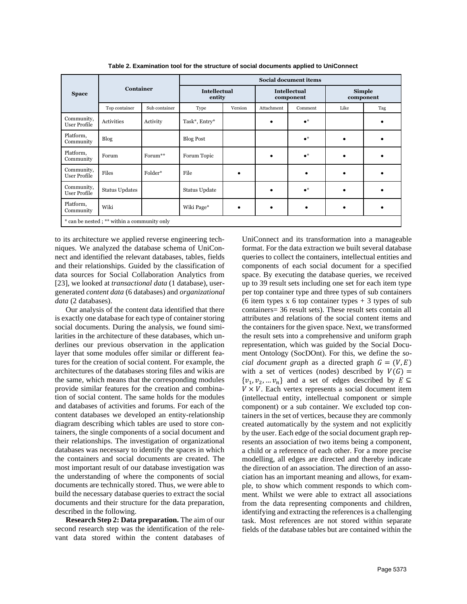<span id="page-4-0"></span>

| <b>Space</b>                                | <b>Container</b>      |               | <b>Social document items</b>  |         |                                  |             |                     |     |  |
|---------------------------------------------|-----------------------|---------------|-------------------------------|---------|----------------------------------|-------------|---------------------|-----|--|
|                                             |                       |               | <b>Intellectual</b><br>entity |         | <b>Intellectual</b><br>component |             | Simple<br>component |     |  |
|                                             | Top container         | Sub container | Type                          | Version | Attachment                       | Comment     | Like                | Tag |  |
| Community,<br>User Profile                  | Activities            | Activity      | Task*, Entry*                 |         |                                  | $\bullet^*$ |                     |     |  |
| Platform,<br>Community                      | Blog                  |               | <b>Blog Post</b>              |         |                                  | $\bullet^*$ |                     |     |  |
| Platform,<br>Community                      | Forum                 | Forum**       | Forum Topic                   |         |                                  | $\bullet^*$ |                     |     |  |
| Community,<br>User Profile                  | Files                 | Folder*       | File                          |         |                                  |             |                     |     |  |
| Community,<br>User Profile                  | <b>Status Updates</b> |               | Status Update                 |         |                                  | $\bullet^*$ |                     | ٠   |  |
| Platform,<br>Community                      | Wiki                  |               | Wiki Page*                    |         |                                  |             |                     | ٠   |  |
| * can be nested; ** within a community only |                       |               |                               |         |                                  |             |                     |     |  |

**Table 2. Examination tool for the structure of social documents applied to UniConnect**

to its architecture we applied reverse engineering techniques. We analyzed the database schema of UniConnect and identified the relevant databases, tables, fields and their relationships. Guided by the classification of data sources for Social Collaboration Analytics from [23], we looked at *transactional data* (1 database), usergenerated *content data* (6 databases) and *organizational data* (2 databases).

Our analysis of the content data identified that there is exactly one database for each type of container storing social documents. During the analysis, we found similarities in the architecture of these databases, which underlines our previous observation in the application layer that some modules offer similar or different features for the creation of social content. For example, the architectures of the databases storing files and wikis are the same, which means that the corresponding modules provide similar features for the creation and combination of social content. The same holds for the modules and databases of activities and forums. For each of the content databases we developed an entity-relationship diagram describing which tables are used to store containers, the single components of a social document and their relationships. The investigation of organizational databases was necessary to identify the spaces in which the containers and social documents are created. The most important result of our database investigation was the understanding of where the components of social documents are technically stored. Thus, we were able to build the necessary database queries to extract the social documents and their structure for the data preparation, described in the following.

**Research Step 2: Data preparation.** The aim of our second research step was the identification of the relevant data stored within the content databases of UniConnect and its transformation into a manageable format. For the data extraction we built several database queries to collect the containers, intellectual entities and components of each social document for a specified space. By executing the database queries, we received up to 39 result sets including one set for each item type per top container type and three types of sub containers (6 item types x 6 top container types  $+3$  types of sub containers= 36 result sets). These result sets contain all attributes and relations of the social content items and the containers for the given space. Next, we transformed the result sets into a comprehensive and uniform graph representation, which was guided by the Social Document Ontology (SocDOnt). For this, we define the *social document graph* as a directed graph  $G = (V, E)$ with a set of vertices (nodes) described by  $V(G)$  =  $\{v_1, v_2, ..., v_n\}$  and a set of edges described by  $E \subseteq$  $V \times V$ . Each vertex represents a social document item (intellectual entity, intellectual component or simple component) or a sub container. We excluded top containers in the set of vertices, because they are commonly created automatically by the system and not explicitly by the user. Each edge of the social document graph represents an association of two items being a component, a child or a reference of each other. For a more precise modelling, all edges are directed and thereby indicate the direction of an association. The direction of an association has an important meaning and allows, for example, to show which comment responds to which comment. Whilst we were able to extract all associations from the data representing components and children, identifying and extracting the references is a challenging task. Most references are not stored within separate fields of the database tables but are contained within the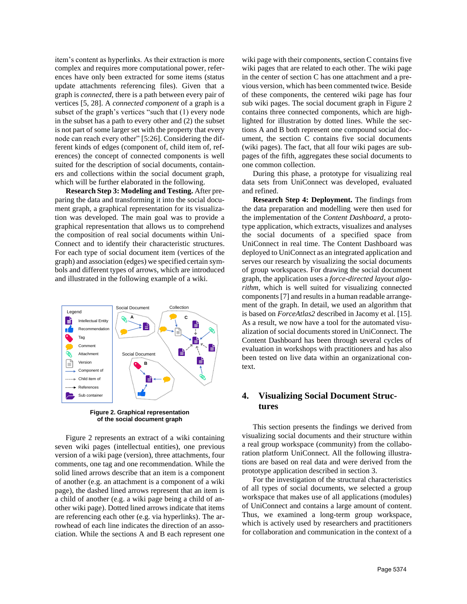item's content as hyperlinks. As their extraction is more complex and requires more computational power, references have only been extracted for some items (status update attachments referencing files). Given that a graph is *connected,* there is a path between every pair of vertices [5, 28]. A *connected component* of a graph is a subset of the graph's vertices "such that (1) every node in the subset has a path to every other and (2) the subset is not part of some larger set with the property that every node can reach every other" [5:26]. Considering the different kinds of edges (component of, child item of, references) the concept of connected components is well suited for the description of social documents, containers and collections within the social document graph, which will be further elaborated in the following.

**Research Step 3: Modeling and Testing.** After preparing the data and transforming it into the social document graph, a graphical representation for its visualization was developed. The main goal was to provide a graphical representation that allows us to comprehend the composition of real social documents within Uni-Connect and to identify their characteristic structures. For each type of social document item (vertices of the graph) and association (edges) we specified certain symbols and different types of arrows, which are introduced and illustrated in the following example of a wiki.



**Figure 2. Graphical representation of the social document graph**

Figure 2 represents an extract of a wiki containing seven wiki pages (intellectual entities), one previous version of a wiki page (version), three attachments, four comments, one tag and one recommendation. While the solid lined arrows describe that an item is a component of another (e.g. an attachment is a component of a wiki page), the dashed lined arrows represent that an item is a child of another (e.g. a wiki page being a child of another wiki page). Dotted lined arrows indicate that items are referencing each other (e.g. via hyperlinks). The arrowhead of each line indicates the direction of an association. While the sections A and B each represent one

wiki page with their components, section C contains five wiki pages that are related to each other. The wiki page in the center of section C has one attachment and a previous version, which has been commented twice. Beside of these components, the centered wiki page has four sub wiki pages. The social document graph in Figure 2 contains three connected components, which are highlighted for illustration by dotted lines. While the sections A and B both represent one compound social document, the section C contains five social documents (wiki pages). The fact, that all four wiki pages are subpages of the fifth, aggregates these social documents to one common collection.

During this phase, a prototype for visualizing real data sets from UniConnect was developed, evaluated and refined.

**Research Step 4: Deployment.** The findings from the data preparation and modelling were then used for the implementation of the *Content Dashboard,* a prototype application, which extracts, visualizes and analyses the social documents of a specified space from UniConnect in real time. The Content Dashboard was deployed to UniConnect as an integrated application and serves our research by visualizing the social documents of group workspaces. For drawing the social document graph, the application uses a *force-directed layout algorithm*, which is well suited for visualizing connected components [7] and results in a human readable arrangement of the graph. In detail, we used an algorithm that is based on *ForceAtlas2* described in Jacomy et al. [15]. As a result, we now have a tool for the automated visualization of social documents stored in UniConnect. The Content Dashboard has been through several cycles of evaluation in workshops with practitioners and has also been tested on live data within an organizational context.

# <span id="page-5-0"></span>**4. Visualizing Social Document Structures**

This section presents the findings we derived from visualizing social documents and their structure within a real group workspace (community) from the collaboration platform UniConnect. All the following illustrations are based on real data and were derived from the prototype application described in section [3.](#page-2-0)

For the investigation of the structural characteristics of all types of social documents, we selected a group workspace that makes use of all applications (modules) of UniConnect and contains a large amount of content. Thus, we examined a long-term group workspace, which is actively used by researchers and practitioners for collaboration and communication in the context of a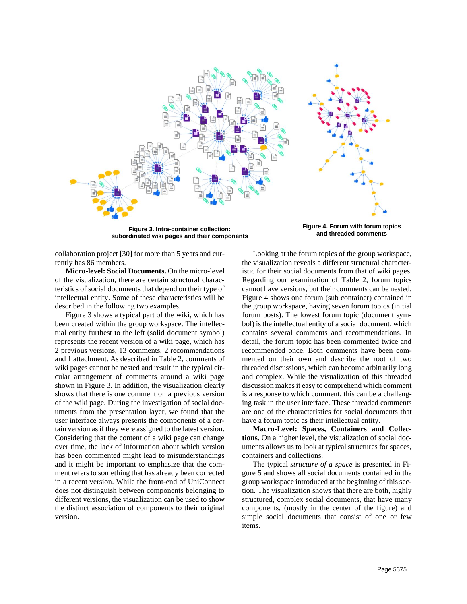

**Figure 3. Intra-container collection: subordinated wiki pages and their components**

<span id="page-6-1"></span>**Figure 4. Forum with forum topics and threaded comments**

<span id="page-6-0"></span>collaboration project [30] for more than 5 years and currently has 86 members.

**Micro-level: Social Documents.** On the micro-level of the visualization, there are certain structural characteristics of social documents that depend on their type of intellectual entity. Some of these characteristics will be described in the following two examples.

[Figure 3](#page-6-0) shows a typical part of the wiki, which has been created within the group workspace. The intellectual entity furthest to the left (solid document symbol) represents the recent version of a wiki page, which has 2 previous versions, 13 comments, 2 recommendations and 1 attachment. As described i[n Table 2,](#page-4-0) comments of wiki pages cannot be nested and result in the typical circular arrangement of comments around a wiki page shown in [Figure 3.](#page-6-0) In addition, the visualization clearly shows that there is one comment on a previous version of the wiki page. During the investigation of social documents from the presentation layer, we found that the user interface always presents the components of a certain version as if they were assigned to the latest version. Considering that the content of a wiki page can change over time, the lack of information about which version has been commented might lead to misunderstandings and it might be important to emphasize that the comment refers to something that has already been corrected in a recent version. While the front-end of UniConnect does not distinguish between components belonging to different versions, the visualization can be used to show the distinct association of components to their original version.

Looking at the forum topics of the group workspace, the visualization reveals a different structural characteristic for their social documents from that of wiki pages. Regarding our examination of [Table 2,](#page-4-0) forum topics cannot have versions, but their comments can be nested. [Figure 4](#page-6-1) shows one forum (sub container) contained in the group workspace, having seven forum topics (initial forum posts). The lowest forum topic (document symbol) is the intellectual entity of a social document, which contains several comments and recommendations. In detail, the forum topic has been commented twice and recommended once. Both comments have been commented on their own and describe the root of two threaded discussions, which can become arbitrarily long and complex. While the visualization of this threaded discussion makes it easy to comprehend which comment is a response to which comment, this can be a challenging task in the user interface. These threaded comments are one of the characteristics for social documents that have a forum topic as their intellectual entity.

**Macro-Level: Spaces, Containers and Collections.** On a higher level, the visualization of social documents allows us to look at typical structures for spaces, containers and collections.

The typical *structure of a space* is presented in [Fi](#page-7-0)[gure 5](#page-7-0) and shows all social documents contained in the group workspace introduced at the beginning of this section. The visualization shows that there are both, highly structured, complex social documents, that have many components, (mostly in the center of the figure) and simple social documents that consist of one or few items.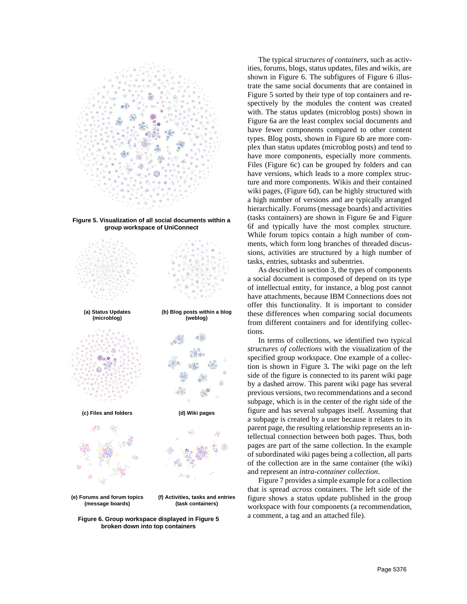

<span id="page-7-0"></span>

<span id="page-7-1"></span>**Figure 6. Group workspace displayed in Figure 5 broken down into top containers**

The typical *structures of containers*, such as activities, forums, blogs, status updates, files and wikis, are shown in [Figure 6.](#page-7-1) The subfigures of [Figure 6](#page-7-1) illustrate the same social documents that are contained in [Figure 5](#page-7-0) sorted by their type of top containers and respectively by the modules the content was created with. The status updates (microblog posts) shown in [Figure 6a](#page-7-1) are the least complex social documents and have fewer components compared to other content types. Blog posts, shown in [Figure 6b](#page-7-1) are more complex than status updates (microblog posts) and tend to have more components, especially more comments. Files [\(Figure 6c](#page-7-1)) can be grouped by folders and can have versions, which leads to a more complex structure and more components. Wikis and their contained wiki pages, [\(Figure 6d](#page-7-1)), can be highly structured with a high number of versions and are typically arranged hierarchically. Forums (message boards) and activities (tasks containers) are shown in [Figure 6e](#page-7-1) and [Figure](#page-7-1)  [6f](#page-7-1) and typically have the most complex structure. While forum topics contain a high number of comments, which form long branches of threaded discussions, activities are structured by a high number of tasks, entries, subtasks and subentries.

As described in sectio[n 3,](#page-2-0) the types of components a social document is composed of depend on its type of intellectual entity, for instance, a blog post cannot have attachments, because IBM Connections does not offer this functionality. It is important to consider these differences when comparing social documents from different containers and for identifying collections.

In terms of collections, we identified two typical *structures of collections* with the visualization of the specified group workspace. One example of a collection is shown in [Figure 3](#page-6-0)**.** The wiki page on the left side of the figure is connected to its parent wiki page by a dashed arrow. This parent wiki page has several previous versions, two recommendations and a second subpage, which is in the center of the right side of the figure and has several subpages itself. Assuming that a subpage is created by a user because it relates to its parent page, the resulting relationship represents an intellectual connection between both pages. Thus, both pages are part of the same collection. In the example of subordinated wiki pages being a collection, all parts of the collection are in the same container (the wiki) and represent an *intra-container collection*.

[Figure 7](#page-8-1) provides a simple example for a collection that is spread *across* containers. The left side of the figure shows a status update published in the group workspace with four components (a recommendation, a comment, a tag and an attached file).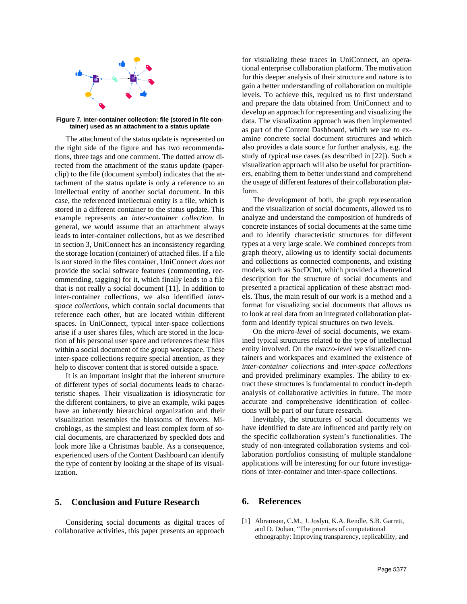

<span id="page-8-1"></span>**Figure 7. Inter-container collection: file (stored in file container) used as an attachment to a status update**

The attachment of the status update is represented on the right side of the figure and has two recommendations, three tags and one comment. The dotted arrow directed from the attachment of the status update (paperclip) to the file (document symbol) indicates that the attachment of the status update is only a reference to an intellectual entity of another social document. In this case, the referenced intellectual entity is a file, which is stored in a different container to the status update. This example represents an *inter-container collection*. In general, we would assume that an attachment always leads to inter-container collections, but as we described in sectio[n 3,](#page-2-0) UniConnect has an inconsistency regarding the storage location (container) of attached files. If a file is *not* stored in the files container, UniConnect *does not* provide the social software features (commenting, recommending, tagging) for it, which finally leads to a file that is not really a social document [11]. In addition to inter-container collections, we also identified *interspace collections*, which contain social documents that reference each other, but are located within different spaces. In UniConnect, typical inter-space collections arise if a user shares files, which are stored in the location of his personal user space and references these files within a social document of the group workspace. These inter-space collections require special attention, as they help to discover content that is stored outside a space.

It is an important insight that the inherent structure of different types of social documents leads to characteristic shapes. Their visualization is idiosyncratic for the different containers, to give an example, wiki pages have an inherently hierarchical organization and their visualization resembles the blossoms of flowers. Microblogs, as the simplest and least complex form of social documents, are characterized by speckled dots and look more like a Christmas bauble. As a consequence, experienced users of the Content Dashboard can identify the type of content by looking at the shape of its visualization.

## <span id="page-8-0"></span>**5. Conclusion and Future Research**

Considering social documents as digital traces of collaborative activities, this paper presents an approach

for visualizing these traces in UniConnect, an operational enterprise collaboration platform. The motivation for this deeper analysis of their structure and nature is to gain a better understanding of collaboration on multiple levels. To achieve this, required us to first understand and prepare the data obtained from UniConnect and to develop an approach for representing and visualizing the data. The visualization approach was then implemented as part of the Content Dashboard, which we use to examine concrete social document structures and which also provides a data source for further analysis, e.g. the study of typical use cases (as described in [22]). Such a visualization approach will also be useful for practitioners, enabling them to better understand and comprehend the usage of different features of their collaboration platform.

The development of both, the graph representation and the visualization of social documents, allowed us to analyze and understand the composition of hundreds of concrete instances of social documents at the same time and to identify characteristic structures for different types at a very large scale. We combined concepts from graph theory, allowing us to identify social documents and collections as connected components, and existing models, such as SocDOnt, which provided a theoretical description for the structure of social documents and presented a practical application of these abstract models. Thus, the main result of our work is a method and a format for visualizing social documents that allows us to look at real data from an integrated collaboration platform and identify typical structures on two levels.

On the *micro-level* of social documents, we examined typical structures related to the type of intellectual entity involved. On the *macro-level* we visualized containers and workspaces and examined the existence of *inter-container collections* and *inter-space collections* and provided preliminary examples. The ability to extract these structures is fundamental to conduct in-depth analysis of collaborative activities in future. The more accurate and comprehensive identification of collections will be part of our future research.

Inevitably, the structures of social documents we have identified to date are influenced and partly rely on the specific collaboration system's functionalities. The study of non-integrated collaboration systems and collaboration portfolios consisting of multiple standalone applications will be interesting for our future investigations of inter-container and inter-space collections.

## **6. References**

[1] Abramson, C.M., J. Joslyn, K.A. Rendle, S.B. Garrett, and D. Dohan, "The promises of computational ethnography: Improving transparency, replicability, and